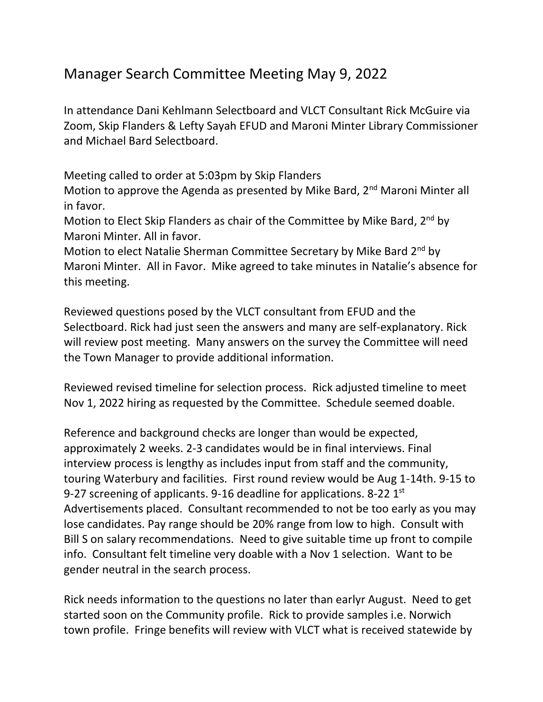## Manager Search Committee Meeting May 9, 2022

In attendance Dani Kehlmann Selectboard and VLCT Consultant Rick McGuire via Zoom, Skip Flanders & Lefty Sayah EFUD and Maroni Minter Library Commissioner and Michael Bard Selectboard.

Meeting called to order at 5:03pm by Skip Flanders

Motion to approve the Agenda as presented by Mike Bard, 2<sup>nd</sup> Maroni Minter all in favor.

Motion to Elect Skip Flanders as chair of the Committee by Mike Bard, 2<sup>nd</sup> by Maroni Minter. All in favor.

Motion to elect Natalie Sherman Committee Secretary by Mike Bard 2<sup>nd</sup> by Maroni Minter. All in Favor. Mike agreed to take minutes in Natalie's absence for this meeting.

Reviewed questions posed by the VLCT consultant from EFUD and the Selectboard. Rick had just seen the answers and many are self-explanatory. Rick will review post meeting. Many answers on the survey the Committee will need the Town Manager to provide additional information.

Reviewed revised timeline for selection process. Rick adjusted timeline to meet Nov 1, 2022 hiring as requested by the Committee. Schedule seemed doable.

Reference and background checks are longer than would be expected, approximately 2 weeks. 2-3 candidates would be in final interviews. Final interview process is lengthy as includes input from staff and the community, touring Waterbury and facilities. First round review would be Aug 1-14th. 9-15 to 9-27 screening of applicants. 9-16 deadline for applications. 8-22 1<sup>st</sup> Advertisements placed. Consultant recommended to not be too early as you may lose candidates. Pay range should be 20% range from low to high. Consult with Bill S on salary recommendations. Need to give suitable time up front to compile info. Consultant felt timeline very doable with a Nov 1 selection. Want to be gender neutral in the search process.

Rick needs information to the questions no later than earlyr August. Need to get started soon on the Community profile. Rick to provide samples i.e. Norwich town profile. Fringe benefits will review with VLCT what is received statewide by